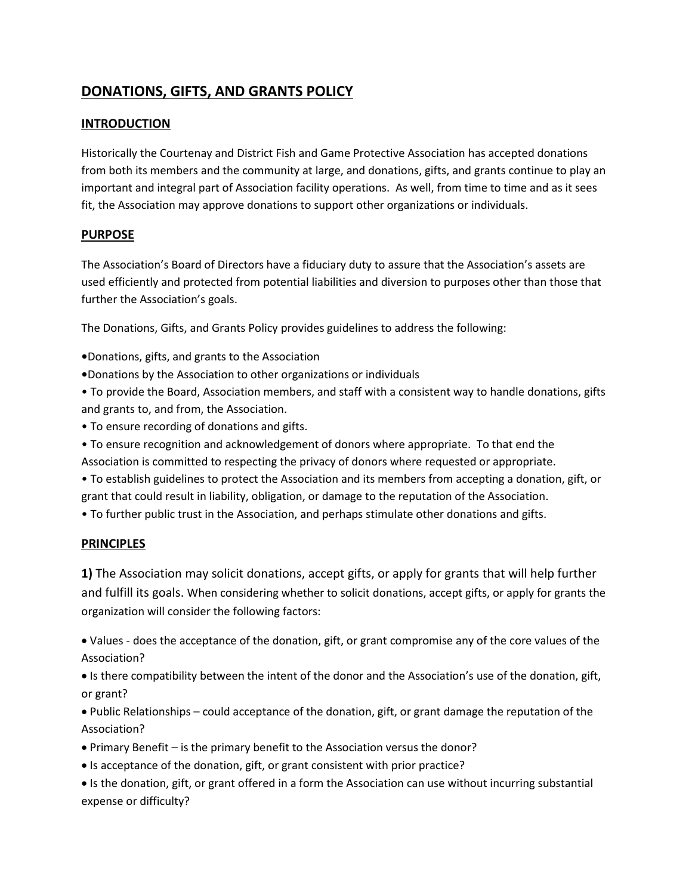# **DONATIONS, GIFTS, AND GRANTS POLICY**

### **INTRODUCTION**

Historically the Courtenay and District Fish and Game Protective Association has accepted donations from both its members and the community at large, and donations, gifts, and grants continue to play an important and integral part of Association facility operations. As well, from time to time and as it sees fit, the Association may approve donations to support other organizations or individuals.

## **PURPOSE**

The Association's Board of Directors have a fiduciary duty to assure that the Association's assets are used efficiently and protected from potential liabilities and diversion to purposes other than those that further the Association's goals.

The Donations, Gifts, and Grants Policy provides guidelines to address the following:

- **•**Donations, gifts, and grants to the Association
- **•**Donations by the Association to other organizations or individuals
- To provide the Board, Association members, and staff with a consistent way to handle donations, gifts and grants to, and from, the Association.
- To ensure recording of donations and gifts.
- To ensure recognition and acknowledgement of donors where appropriate. To that end the Association is committed to respecting the privacy of donors where requested or appropriate.
- To establish guidelines to protect the Association and its members from accepting a donation, gift, or grant that could result in liability, obligation, or damage to the reputation of the Association.
- To further public trust in the Association, and perhaps stimulate other donations and gifts.

#### **PRINCIPLES**

**1)** The Association may solicit donations, accept gifts, or apply for grants that will help further and fulfill its goals. When considering whether to solicit donations, accept gifts, or apply for grants the organization will consider the following factors:

• Values - does the acceptance of the donation, gift, or grant compromise any of the core values of the Association?

• Is there compatibility between the intent of the donor and the Association's use of the donation, gift, or grant?

• Public Relationships – could acceptance of the donation, gift, or grant damage the reputation of the Association?

- Primary Benefit is the primary benefit to the Association versus the donor?
- Is acceptance of the donation, gift, or grant consistent with prior practice?
- Is the donation, gift, or grant offered in a form the Association can use without incurring substantial expense or difficulty?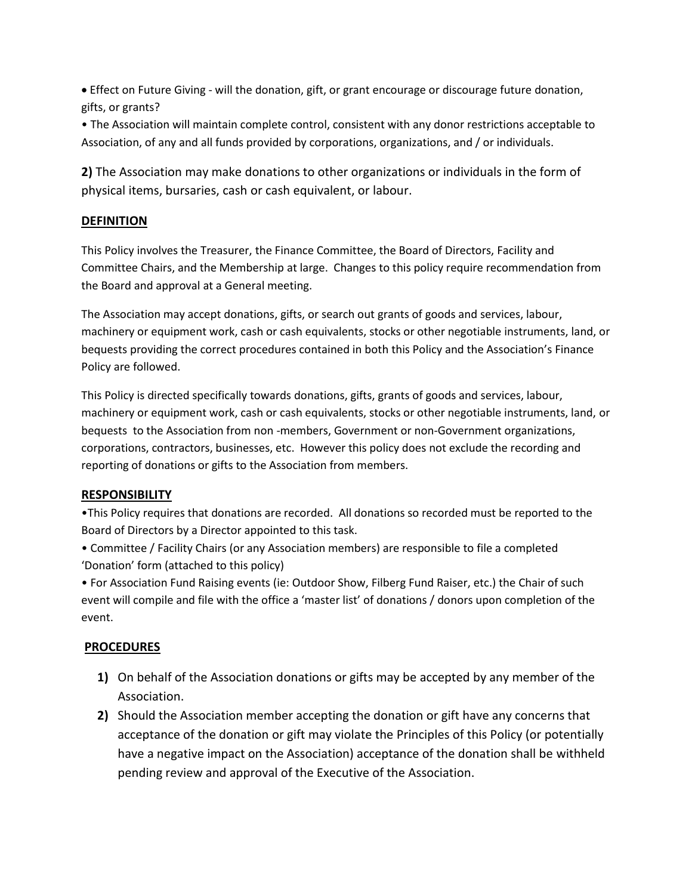• Effect on Future Giving - will the donation, gift, or grant encourage or discourage future donation, gifts, or grants?

• The Association will maintain complete control, consistent with any donor restrictions acceptable to Association, of any and all funds provided by corporations, organizations, and / or individuals.

**2)** The Association may make donations to other organizations or individuals in the form of physical items, bursaries, cash or cash equivalent, or labour.

## **DEFINITION**

This Policy involves the Treasurer, the Finance Committee, the Board of Directors, Facility and Committee Chairs, and the Membership at large. Changes to this policy require recommendation from the Board and approval at a General meeting.

The Association may accept donations, gifts, or search out grants of goods and services, labour, machinery or equipment work, cash or cash equivalents, stocks or other negotiable instruments, land, or bequests providing the correct procedures contained in both this Policy and the Association's Finance Policy are followed.

This Policy is directed specifically towards donations, gifts, grants of goods and services, labour, machinery or equipment work, cash or cash equivalents, stocks or other negotiable instruments, land, or bequests to the Association from non -members, Government or non-Government organizations, corporations, contractors, businesses, etc. However this policy does not exclude the recording and reporting of donations or gifts to the Association from members.

#### **RESPONSIBILITY**

•This Policy requires that donations are recorded. All donations so recorded must be reported to the Board of Directors by a Director appointed to this task.

• Committee / Facility Chairs (or any Association members) are responsible to file a completed 'Donation' form (attached to this policy)

• For Association Fund Raising events (ie: Outdoor Show, Filberg Fund Raiser, etc.) the Chair of such event will compile and file with the office a 'master list' of donations / donors upon completion of the event.

#### **PROCEDURES**

- **1)** On behalf of the Association donations or gifts may be accepted by any member of the Association.
- **2)** Should the Association member accepting the donation or gift have any concerns that acceptance of the donation or gift may violate the Principles of this Policy (or potentially have a negative impact on the Association) acceptance of the donation shall be withheld pending review and approval of the Executive of the Association.